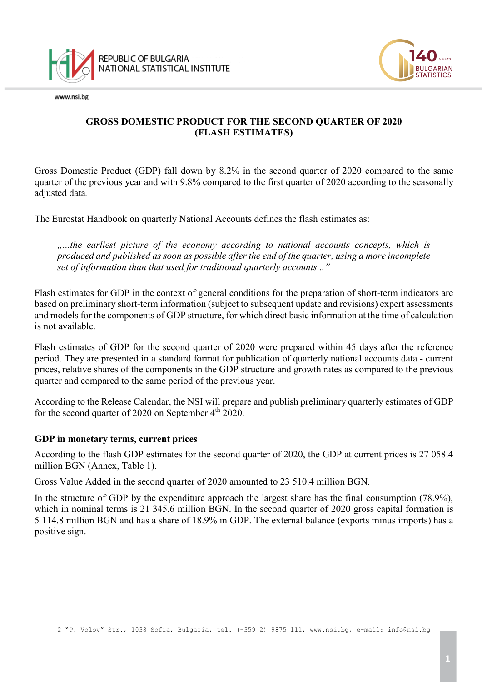

www.nsi.be



# **GROSS DOMESTIC PRODUCT FOR THE SECOND QUARTER OF 2020 (FLASH ESTIMATES)**

Gross Domestic Product (GDP) fall down by 8.2% in the second quarter of 2020 compared to the same quarter of the previous year and with 9.8% compared to the first quarter of 2020 according to the seasonally adjusted data*.*

The Eurostat Handbook on quarterly National Accounts defines the flash estimates as:

*"...the earliest picture of the economy according to national accounts concepts, which is produced and published as soon as possible after the end of the quarter, using a more incomplete set of information than that used for traditional quarterly accounts..."*

Flash estimates for GDP in the context of general conditions for the preparation of short-term indicators are based on preliminary short-term information (subject to subsequent update and revisions) expert assessments and models for the components of GDP structure, for which direct basic information at the time of calculation is not available.

Flash estimates of GDP for the second quarter of 2020 were prepared within 45 days after the reference period. They are presented in a standard format for publication of quarterly national accounts data - current prices, relative shares of the components in the GDP structure and growth rates as compared to the previous quarter and compared to the same period of the previous year.

According to the Release Calendar, the NSI will prepare and publish preliminary quarterly estimates of GDP for the second quarter of 2020 on September 4<sup>th</sup> 2020.

### **GDP in monetary terms, current prices**

According to the flash GDP estimates for the second quarter of 2020, the GDP at current prices is 27 058.4 million BGN [\(Annex,](http://www.nsi.bg/otrasalen.php?otr=42&a1=2191&a2=2231&a3=2232#cont) Table 1).

Gross Value Added in the second quarter of 2020 amounted to 23 510.4 million BGN.

In the structure of GDP by the expenditure approach the largest share has the final consumption (78.9%), which in nominal terms is 21 345.6 million BGN. In the second quarter of 2020 gross capital formation is 5 114.8 million BGN and has a share of 18.9% in GDP. The external balance (exports minus imports) has a positive sign.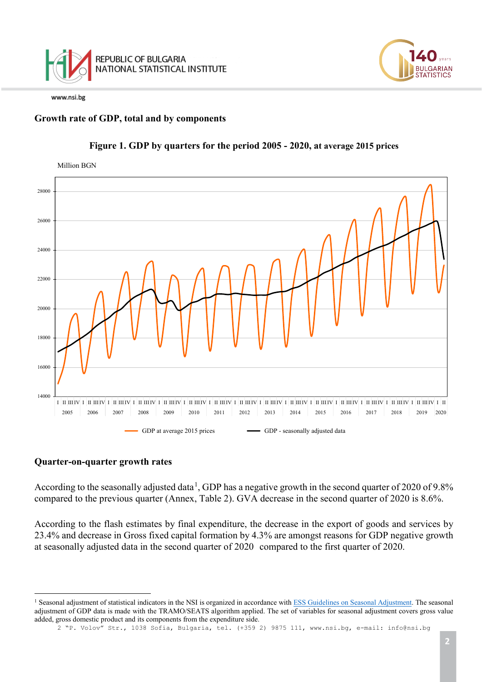

# **Growth rate of GDP, total and by components**



## **Figure 1. GDP by quarters for the period 2005 - 2020, at average 2015 prices**

#### **Quarter-on-quarter growth rates**

According to the seasonally adjusted data<sup>[1](#page-1-0)</sup>, GDP has a negative growth in the second quarter of 2020 of 9.8% compared to the previous quarter (Annex, Table 2). GVA decrease in the second quarter of 2020 is 8.6%.

According to the flash estimates by final expenditure, the decrease in the export of goods and services by 23.4% and decrease in Gross fixed capital formation by 4.3% are amongst reasons for GDP negative growth at seasonally adjusted data in the second quarter of 2020 compared to the first quarter of 2020.

**JI GARIAN TATISTICS** 

<span id="page-1-0"></span> $\frac{1}{\sqrt{2}}$ <sup>1</sup> Seasonal adjustment of statistical indicators in the NSI is organized in accordance wit[h ESS Guidelines on Seasonal Adjustment.](http://ec.europa.eu/eurostat/delegate/product?code=KS-RA-09-006) The seasonal adjustment of GDP data is made with the TRAMO/SEATS algorithm applied. The set of variables for seasonal adjustment covers gross value added, gross domestic product and its components from the expenditure side.

<sup>2</sup> "P. Volov" Str., 1038 Sofia, Bulgaria, tel. (+359 2) 9875 111, [www.nsi.bg,](http://www.nsi.bg/) e-mail: info@nsi.bg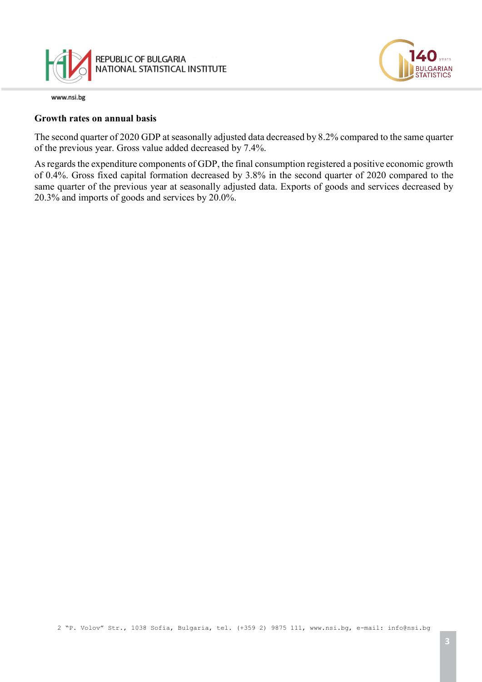

#### **Growth rates on annual basis**

The second quarter of 2020 GDP at seasonally adjusted data decreased by 8.2% compared to the same quarter of the previous year. Gross value added decreased by 7.4%.

As regards the expenditure components of GDP, the final consumption registered a positive economic growth of 0.4%. Gross fixed capital formation decreased by 3.8% in the second quarter of 2020 compared to the same quarter of the previous year at seasonally adjusted data. Exports of goods and services decreased by 20.3% and imports of goods and services by 20.0%.

2 "P. Volov" Str., 1038 Sofia, Bulgaria, tel. (+359 2) 9875 111, [www.nsi.bg,](http://www.nsi.bg/) e-mail: info@nsi.bg

**GARIAN**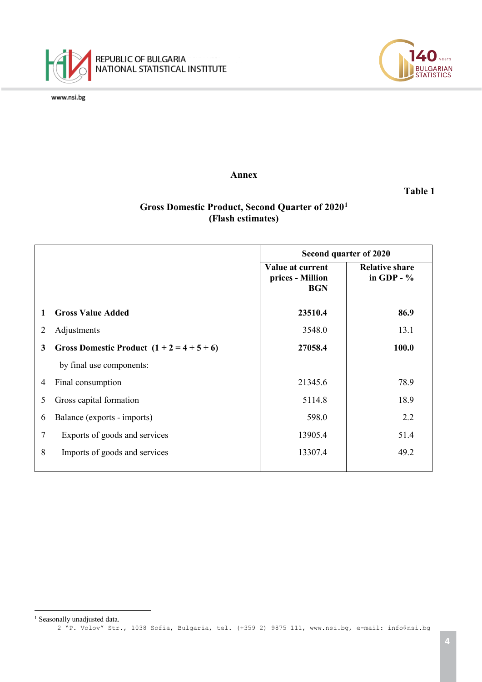

 $\frac{1}{\sqrt{2}}$ 



**Annex**

**Table 1**

# **Gross Domestic Product, Second Quarter of 2020[1](#page-3-0) (Flash estimates)**

|                |                                      | Second quarter of 2020                             |                                       |
|----------------|--------------------------------------|----------------------------------------------------|---------------------------------------|
|                |                                      | Value at current<br>prices - Million<br><b>BGN</b> | <b>Relative share</b><br>in GDP - $%$ |
| 1              | <b>Gross Value Added</b>             | 23510.4                                            | 86.9                                  |
| $\overline{2}$ | Adjustments                          | 3548.0                                             | 13.1                                  |
| 3              | Gross Domestic Product $(1+2=4+5+6)$ | 27058.4                                            | 100.0                                 |
|                | by final use components:             |                                                    |                                       |
| $\overline{4}$ | Final consumption                    | 21345.6                                            | 78.9                                  |
| 5              | Gross capital formation              | 5114.8                                             | 18.9                                  |
| 6              | Balance (exports - imports)          | 598.0                                              | 2.2                                   |
| 7              | Exports of goods and services        | 13905.4                                            | 51.4                                  |
| 8              | Imports of goods and services        | 13307.4                                            | 49.2                                  |

<span id="page-3-0"></span><sup>2</sup> "P. Volov" Str., 1038 Sofia, Bulgaria, tel. (+359 2) 9875 111, [www.nsi.bg,](http://www.nsi.bg/) e-mail: info@nsi.bg <sup>1</sup> Seasonally unadjusted data.